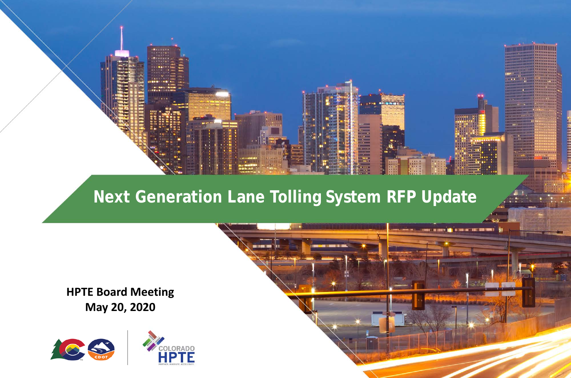

### **Next Generation Lane Tolling System RFP Update**

<u> DE L'ASSISTENT (ORIGINALEMENT DE L'ASSISTENT DE L'ASSISTENT DE L'ASSISTENT DE L'ASSISTENT DE L'ASSISTENT DE L'</u>

**HPTE Board Meeting May 20, 2020**

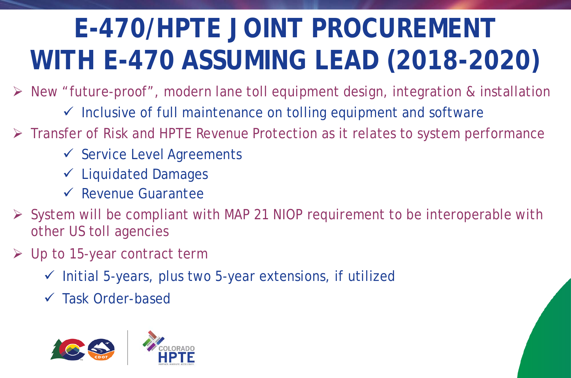# **E-470/HPTE JOINT PROCUREMENT WITH E-470 ASSUMING LEAD (2018-2020)**

New "future-proof", modern lane toll equipment design, integration & installation

- $\checkmark$  Inclusive of full maintenance on tolling equipment and software
- Fransfer of Risk and HPTE Revenue Protection as it relates to system performance
	- $\checkmark$  Service Level Agreements
	- $\checkmark$  Liquidated Damages
	- $\sqrt{\ }$  Revenue Guarantee
- $\triangleright$  System will be compliant with MAP 21 NIOP requirement to be interoperable with other US toll agencies
- Up to 15-year contract term
	- $\checkmark$  Initial 5-years, plus two 5-year extensions, if utilized
	- $\checkmark$  Task Order-based

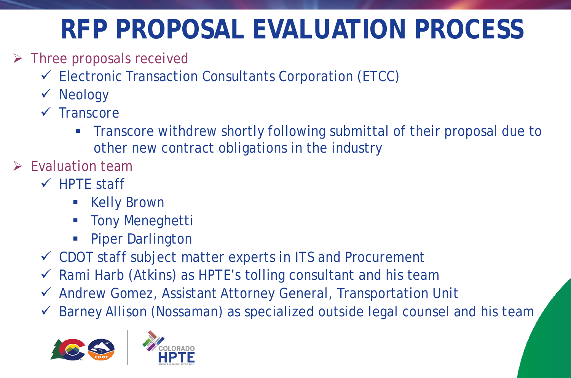## **RFP PROPOSAL EVALUATION PROCESS**

- $\triangleright$  Three proposals received
	- $\checkmark$  Electronic Transaction Consultants Corporation (ETCC)
	- $\checkmark$  Neology
	- $\sqrt{\phantom{a}}$ Transcore
		- **Transcore withdrew shortly following submittal of their proposal due to** other new contract obligations in the industry
- $\triangleright$  Fyaluation team
	- $\checkmark$  HPTE staff
		- **Kelly Brown**
		- **Tony Meneghetti**
		- Piper Darlington
	- $\checkmark$  CDOT staff subject matter experts in ITS and Procurement
	- $\checkmark$  Rami Harb (Atkins) as HPTE's tolling consultant and his team
	- Andrew Gomez, Assistant Attorney General, Transportation Unit
	- Barney Allison (Nossaman) as specialized outside legal counsel and his team



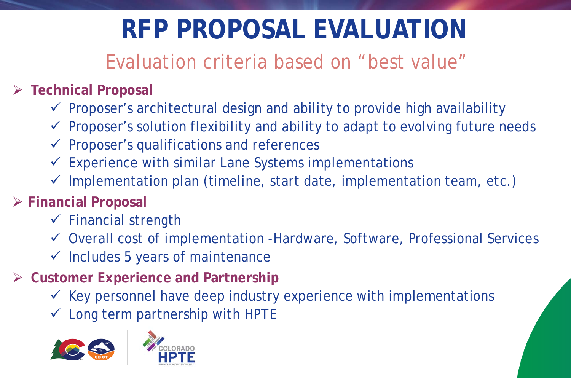## **RFP PROPOSAL EVALUATION**

### Evaluation criteria based on "best value"

#### **Technical Proposal**

- $\checkmark$  Proposer's architectural design and ability to provide high availability
- $\checkmark$  Proposer's solution flexibility and ability to adapt to evolving future needs
- $\checkmark$  Proposer's qualifications and references
- $\checkmark$  Experience with similar Lane Systems implementations
- $\checkmark$  Implementation plan (timeline, start date, implementation team, etc.)
- **Financial Proposal**
	- $\checkmark$  Financial strength
	- Overall cost of implementation -Hardware, Software, Professional Services
	- $\checkmark$  Includes 5 years of maintenance
- **Customer Experience and Partnership**
	- $\checkmark$  Key personnel have deep industry experience with implementations
	- $\checkmark$  Long term partnership with HPTE



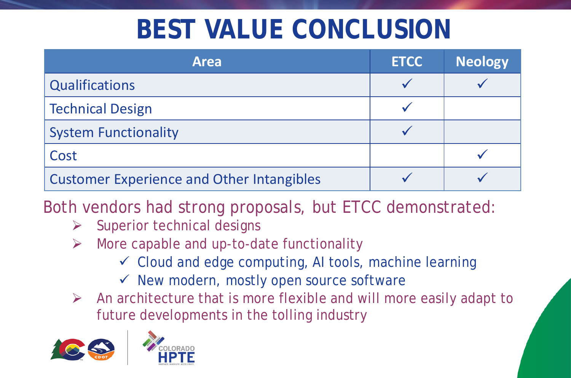### **BEST VALUE CONCLUSION**

| <b>Area</b>                                      | <b>ETCC</b> | <b>Neology</b> |
|--------------------------------------------------|-------------|----------------|
| Qualifications                                   |             |                |
| <b>Technical Design</b>                          |             |                |
| <b>System Functionality</b>                      |             |                |
| Cost                                             |             |                |
| <b>Customer Experience and Other Intangibles</b> |             |                |

Both vendors had strong proposals, but ETCC demonstrated:

- $\triangleright$  Superior technical designs
- $\triangleright$  More capable and up-to-date functionality
	- $\checkmark$  Cloud and edge computing, AI tools, machine learning
	- $\checkmark$  New modern, mostly open source software
- $\triangleright$  An architecture that is more flexible and will more easily adapt to future developments in the tolling industry